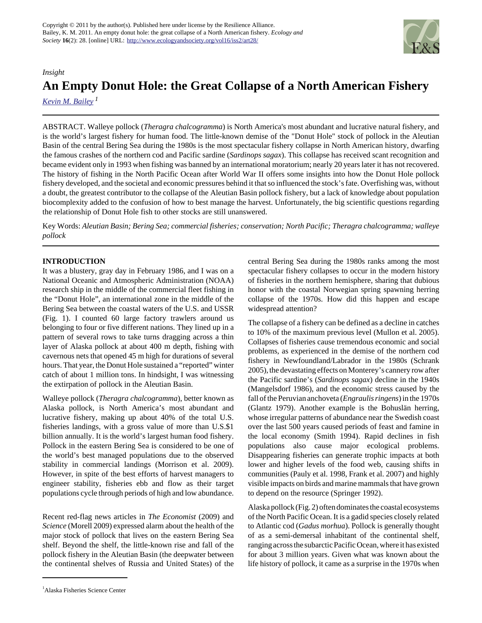

# *Insight* **An Empty Donut Hole: the Great Collapse of a North American Fishery**

*[Kevin M. Bailey](mailto:Kevin.Bailey@NOAA.gov)<sup>1</sup>*

ABSTRACT. Walleye pollock (*Theragra chalcogramma*) is North America's most abundant and lucrative natural fishery, and is the world's largest fishery for human food. The little-known demise of the "Donut Hole" stock of pollock in the Aleutian Basin of the central Bering Sea during the 1980s is the most spectacular fishery collapse in North American history, dwarfing the famous crashes of the northern cod and Pacific sardine (*Sardinops sagax*). This collapse has received scant recognition and became evident only in 1993 when fishing was banned by an international moratorium; nearly 20 years later it has not recovered. The history of fishing in the North Pacific Ocean after World War II offers some insights into how the Donut Hole pollock fishery developed, and the societal and economic pressures behind it that so influenced the stock's fate. Overfishing was, without a doubt, the greatest contributor to the collapse of the Aleutian Basin pollock fishery, but a lack of knowledge about population biocomplexity added to the confusion of how to best manage the harvest. Unfortunately, the big scientific questions regarding the relationship of Donut Hole fish to other stocks are still unanswered.

Key Words: *Aleutian Basin; Bering Sea; commercial fisheries; conservation; North Pacific; Theragra chalcogramma; walleye pollock*

# **INTRODUCTION**

It was a blustery, gray day in February 1986, and I was on a National Oceanic and Atmospheric Administration (NOAA) research ship in the middle of the commercial fleet fishing in the "Donut Hole", an international zone in the middle of the Bering Sea between the coastal waters of the U.S. and USSR (Fig. 1). I counted 60 large factory trawlers around us belonging to four or five different nations. They lined up in a pattern of several rows to take turns dragging across a thin layer of Alaska pollock at about 400 m depth, fishing with cavernous nets that opened 45 m high for durations of several hours. That year, the Donut Hole sustained a "reported" winter catch of about 1 million tons. In hindsight, I was witnessing the extirpation of pollock in the Aleutian Basin.

Walleye pollock (*Theragra chalcogramma*), better known as Alaska pollock, is North America's most abundant and lucrative fishery, making up about 40% of the total U.S. fisheries landings, with a gross value of more than U.S.\$1 billion annually. It is the world's largest human food fishery. Pollock in the eastern Bering Sea is considered to be one of the world's best managed populations due to the observed stability in commercial landings (Morrison et al. 2009). However, in spite of the best efforts of harvest managers to engineer stability, fisheries ebb and flow as their target populations cycle through periods of high and low abundance.

Recent red-flag news articles in *The Economist* (2009) and *Science* (Morell 2009) expressed alarm about the health of the major stock of pollock that lives on the eastern Bering Sea shelf. Beyond the shelf, the little-known rise and fall of the pollock fishery in the Aleutian Basin (the deepwater between the continental shelves of Russia and United States) of the central Bering Sea during the 1980s ranks among the most spectacular fishery collapses to occur in the modern history of fisheries in the northern hemisphere, sharing that dubious honor with the coastal Norwegian spring spawning herring collapse of the 1970s. How did this happen and escape widespread attention?

The collapse of a fishery can be defined as a decline in catches to 10% of the maximum previous level (Mullon et al. 2005). Collapses of fisheries cause tremendous economic and social problems, as experienced in the demise of the northern cod fishery in Newfoundland/Labrador in the 1980s (Schrank 2005), the devastating effects on Monterey's cannery row after the Pacific sardine's (*Sardinops sagax*) decline in the 1940s (Mangelsdorf 1986), and the economic stress caused by the fall of the Peruvian anchoveta (*Engraulis ringens*) in the 1970s (Glantz 1979). Another example is the Bohuslän herring, whose irregular patterns of abundance near the Swedish coast over the last 500 years caused periods of feast and famine in the local economy (Smith 1994). Rapid declines in fish populations also cause major ecological problems. Disappearing fisheries can generate trophic impacts at both lower and higher levels of the food web, causing shifts in communities (Pauly et al. 1998, Frank et al. 2007) and highly visible impacts on birds and marine mammals that have grown to depend on the resource (Springer 1992).

Alaska pollock (Fig. 2) often dominates the coastal ecosystems of the North Pacific Ocean. It is a gadid species closely related to Atlantic cod (*Gadus morhua*). Pollock is generally thought of as a semi-demersal inhabitant of the continental shelf, ranging across the subarctic Pacific Ocean, where it has existed for about 3 million years. Given what was known about the life history of pollock, it came as a surprise in the 1970s when

<sup>1</sup>Alaska Fisheries Science Center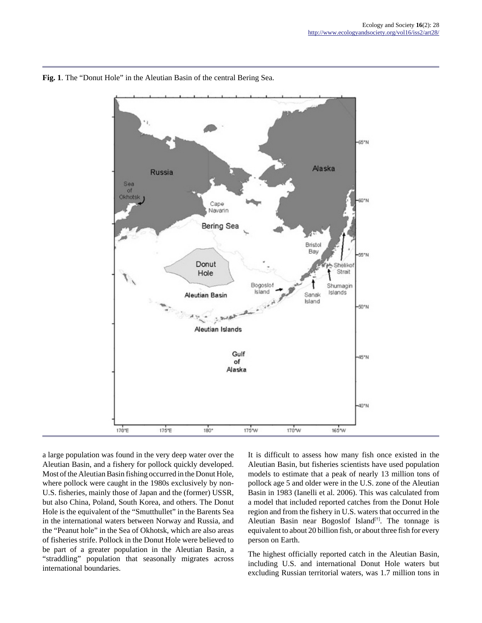

**Fig. 1**. The "Donut Hole" in the Aleutian Basin of the central Bering Sea.

a large population was found in the very deep water over the Aleutian Basin, and a fishery for pollock quickly developed. Most of the Aleutian Basin fishing occurred in the Donut Hole, where pollock were caught in the 1980s exclusively by non-U.S. fisheries, mainly those of Japan and the (former) USSR, but also China, Poland, South Korea, and others. The Donut Hole is the equivalent of the "Smutthullet" in the Barents Sea in the international waters between Norway and Russia, and the "Peanut hole" in the Sea of Okhotsk, which are also areas of fisheries strife. Pollock in the Donut Hole were believed to be part of a greater population in the Aleutian Basin, a "straddling" population that seasonally migrates across international boundaries.

It is difficult to assess how many fish once existed in the Aleutian Basin, but fisheries scientists have used population models to estimate that a peak of nearly 13 million tons of pollock age 5 and older were in the U.S. zone of the Aleutian Basin in 1983 (Ianelli et al. 2006). This was calculated from a model that included reported catches from the Donut Hole region and from the fishery in U.S. waters that occurred in the Aleutian Basin near Bogoslof Island<sup>[†]</sup>. The tonnage is equivalent to about 20 billion fish, or about three fish for every person on Earth.

The highest officially reported catch in the Aleutian Basin, including U.S. and international Donut Hole waters but excluding Russian territorial waters, was 1.7 million tons in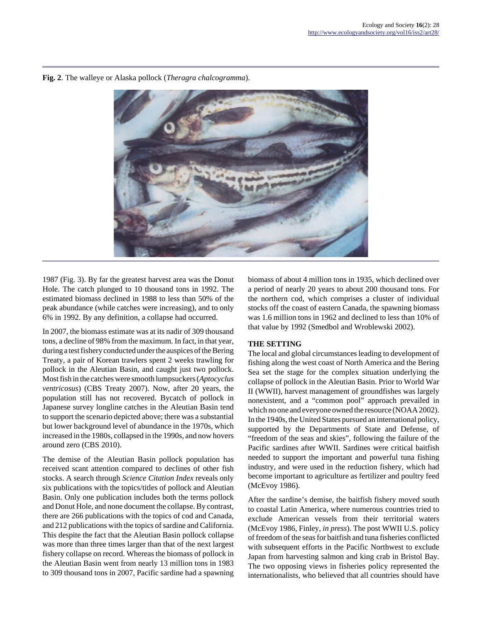

**Fig. 2**. The walleye or Alaska pollock (*Theragra chalcogramma*).

1987 (Fig. 3). By far the greatest harvest area was the Donut Hole. The catch plunged to 10 thousand tons in 1992. The estimated biomass declined in 1988 to less than 50% of the peak abundance (while catches were increasing), and to only 6% in 1992. By any definition, a collapse had occurred.

In 2007, the biomass estimate was at its nadir of 309 thousand tons, a decline of 98% from the maximum. In fact, in that year, during a test fishery conducted under the auspices of the Bering Treaty, a pair of Korean trawlers spent 2 weeks trawling for pollock in the Aleutian Basin, and caught just two pollock. Most fish in the catches were smooth lumpsuckers (*Aptocyclus ventricosus*) (CBS Treaty 2007). Now, after 20 years, the population still has not recovered. Bycatch of pollock in Japanese survey longline catches in the Aleutian Basin tend to support the scenario depicted above; there was a substantial but lower background level of abundance in the 1970s, which increased in the 1980s, collapsed in the 1990s, and now hovers around zero (CBS 2010).

The demise of the Aleutian Basin pollock population has received scant attention compared to declines of other fish stocks. A search through *Science Citation Index* reveals only six publications with the topics/titles of pollock and Aleutian Basin. Only one publication includes both the terms pollock and Donut Hole, and none document the collapse. By contrast, there are 266 publications with the topics of cod and Canada, and 212 publications with the topics of sardine and California. This despite the fact that the Aleutian Basin pollock collapse was more than three times larger than that of the next largest fishery collapse on record. Whereas the biomass of pollock in the Aleutian Basin went from nearly 13 million tons in 1983 to 309 thousand tons in 2007, Pacific sardine had a spawning biomass of about 4 million tons in 1935, which declined over a period of nearly 20 years to about 200 thousand tons. For the northern cod, which comprises a cluster of individual stocks off the coast of eastern Canada, the spawning biomass was 1.6 million tons in 1962 and declined to less than 10% of that value by 1992 (Smedbol and Wroblewski 2002).

#### **THE SETTING**

The local and global circumstances leading to development of fishing along the west coast of North America and the Bering Sea set the stage for the complex situation underlying the collapse of pollock in the Aleutian Basin. Prior to World War II (WWII), harvest management of groundfishes was largely nonexistent, and a "common pool" approach prevailed in which no one and everyone owned the resource (NOAA 2002). In the 1940s, the United States pursued an international policy, supported by the Departments of State and Defense, of "freedom of the seas and skies", following the failure of the Pacific sardines after WWII. Sardines were critical baitfish needed to support the important and powerful tuna fishing industry, and were used in the reduction fishery, which had become important to agriculture as fertilizer and poultry feed (McEvoy 1986).

After the sardine's demise, the baitfish fishery moved south to coastal Latin America, where numerous countries tried to exclude American vessels from their territorial waters (McEvoy 1986, Finley, *in press*). The post WWII U.S. policy of freedom of the seas for baitfish and tuna fisheries conflicted with subsequent efforts in the Pacific Northwest to exclude Japan from harvesting salmon and king crab in Bristol Bay. The two opposing views in fisheries policy represented the internationalists, who believed that all countries should have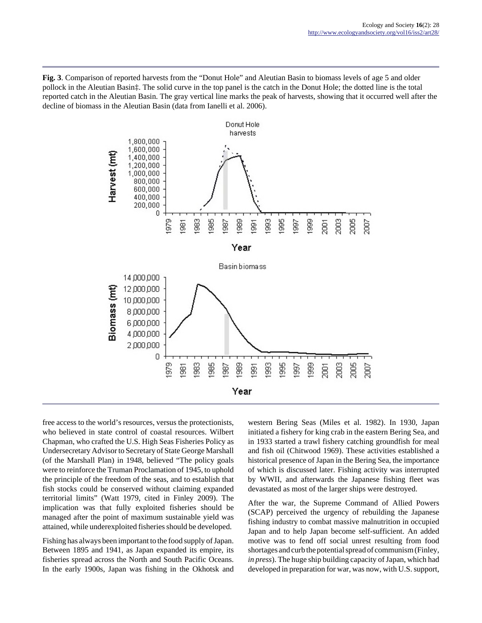**Fig. 3**. Comparison of reported harvests from the "Donut Hole" and Aleutian Basin to biomass levels of age 5 and older pollock in the Aleutian Basin‡. The solid curve in the top panel is the catch in the Donut Hole; the dotted line is the total reported catch in the Aleutian Basin. The gray vertical line marks the peak of harvests, showing that it occurred well after the decline of biomass in the Aleutian Basin (data from Ianelli et al. 2006).



free access to the world's resources, versus the protectionists, who believed in state control of coastal resources. Wilbert Chapman, who crafted the U.S. High Seas Fisheries Policy as Undersecretary Advisor to Secretary of State George Marshall (of the Marshall Plan) in 1948, believed "The policy goals were to reinforce the Truman Proclamation of 1945, to uphold the principle of the freedom of the seas, and to establish that fish stocks could be conserved without claiming expanded territorial limits" (Watt 1979, cited in Finley 2009). The implication was that fully exploited fisheries should be managed after the point of maximum sustainable yield was attained, while underexploited fisheries should be developed.

Fishing has always been important to the food supply of Japan. Between 1895 and 1941, as Japan expanded its empire, its fisheries spread across the North and South Pacific Oceans. In the early 1900s, Japan was fishing in the Okhotsk and western Bering Seas (Miles et al. 1982). In 1930, Japan initiated a fishery for king crab in the eastern Bering Sea, and in 1933 started a trawl fishery catching groundfish for meal and fish oil (Chitwood 1969). These activities established a historical presence of Japan in the Bering Sea, the importance of which is discussed later. Fishing activity was interrupted by WWII, and afterwards the Japanese fishing fleet was devastated as most of the larger ships were destroyed.

After the war, the Supreme Command of Allied Powers (SCAP) perceived the urgency of rebuilding the Japanese fishing industry to combat massive malnutrition in occupied Japan and to help Japan become self-sufficient. An added motive was to fend off social unrest resulting from food shortages and curb the potential spread of communism (Finley, *in press*). The huge ship building capacity of Japan, which had developed in preparation for war, was now, with U.S. support,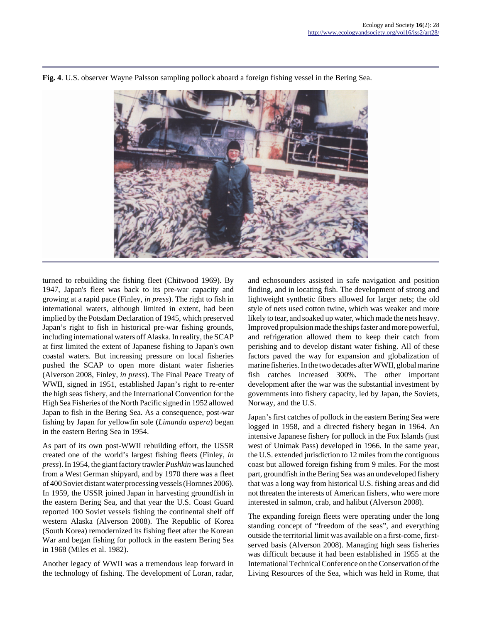

**Fig. 4**. U.S. observer Wayne Palsson sampling pollock aboard a foreign fishing vessel in the Bering Sea.

turned to rebuilding the fishing fleet (Chitwood 1969). By 1947, Japan's fleet was back to its pre-war capacity and growing at a rapid pace (Finley, *in press*). The right to fish in international waters, although limited in extent, had been implied by the Potsdam Declaration of 1945, which preserved Japan's right to fish in historical pre-war fishing grounds, including international waters off Alaska. In reality, the SCAP at first limited the extent of Japanese fishing to Japan's own coastal waters. But increasing pressure on local fisheries pushed the SCAP to open more distant water fisheries (Alverson 2008, Finley, *in press*). The Final Peace Treaty of WWII, signed in 1951, established Japan's right to re-enter the high seas fishery, and the International Convention for the High Sea Fisheries of the North Pacific signed in 1952 allowed Japan to fish in the Bering Sea. As a consequence, post-war fishing by Japan for yellowfin sole (*Limanda aspera*) began in the eastern Bering Sea in 1954.

As part of its own post-WWII rebuilding effort, the USSR created one of the world's largest fishing fleets (Finley, *in press*). In 1954, the giant factory trawler *Pushkin* was launched from a West German shipyard, and by 1970 there was a fleet of 400 Soviet distant water processing vessels (Hornnes 2006). In 1959, the USSR joined Japan in harvesting groundfish in the eastern Bering Sea, and that year the U.S. Coast Guard reported 100 Soviet vessels fishing the continental shelf off western Alaska (Alverson 2008). The Republic of Korea (South Korea) remodernized its fishing fleet after the Korean War and began fishing for pollock in the eastern Bering Sea in 1968 (Miles et al. 1982).

Another legacy of WWII was a tremendous leap forward in the technology of fishing. The development of Loran, radar, and echosounders assisted in safe navigation and position finding, and in locating fish. The development of strong and lightweight synthetic fibers allowed for larger nets; the old style of nets used cotton twine, which was weaker and more likely to tear, and soaked up water, which made the nets heavy. Improved propulsion made the ships faster and more powerful, and refrigeration allowed them to keep their catch from perishing and to develop distant water fishing. All of these factors paved the way for expansion and globalization of marine fisheries. In the two decades after WWII, global marine fish catches increased 300%. The other important development after the war was the substantial investment by governments into fishery capacity, led by Japan, the Soviets, Norway, and the U.S.

Japan's first catches of pollock in the eastern Bering Sea were logged in 1958, and a directed fishery began in 1964. An intensive Japanese fishery for pollock in the Fox Islands (just west of Unimak Pass) developed in 1966. In the same year, the U.S. extended jurisdiction to 12 miles from the contiguous coast but allowed foreign fishing from 9 miles. For the most part, groundfish in the Bering Sea was an undeveloped fishery that was a long way from historical U.S. fishing areas and did not threaten the interests of American fishers, who were more interested in salmon, crab, and halibut (Alverson 2008).

The expanding foreign fleets were operating under the long standing concept of "freedom of the seas", and everything outside the territorial limit was available on a first-come, firstserved basis (Alverson 2008). Managing high seas fisheries was difficult because it had been established in 1955 at the International Technical Conference on the Conservation of the Living Resources of the Sea, which was held in Rome, that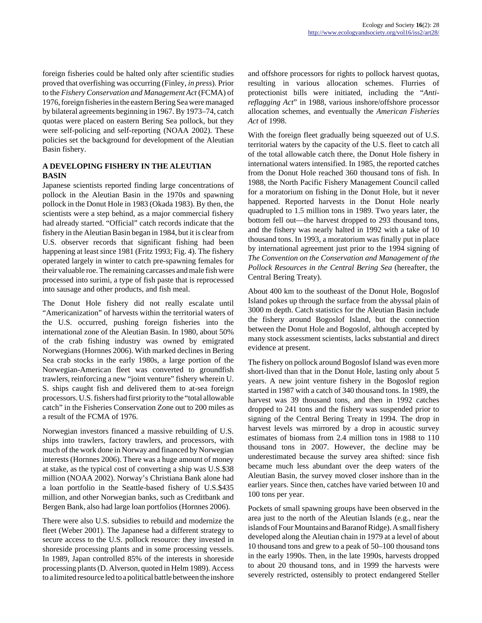foreign fisheries could be halted only after scientific studies proved that overfishing was occurring (Finley, *in press*). Prior to the *Fishery Conservation and Management Act* (FCMA) of 1976, foreign fisheries in the eastern Bering Sea were managed by bilateral agreements beginning in 1967. By 1973–74, catch quotas were placed on eastern Bering Sea pollock, but they were self-policing and self-reporting (NOAA 2002). These policies set the background for development of the Aleutian Basin fishery.

#### **A DEVELOPING FISHERY IN THE ALEUTIAN BASIN**

Japanese scientists reported finding large concentrations of pollock in the Aleutian Basin in the 1970s and spawning pollock in the Donut Hole in 1983 (Okada 1983). By then, the scientists were a step behind, as a major commercial fishery had already started. "Official" catch records indicate that the fishery in the Aleutian Basin began in 1984, but it is clear from U.S. observer records that significant fishing had been happening at least since 1981 (Fritz 1993; Fig. 4). The fishery operated largely in winter to catch pre-spawning females for their valuable roe. The remaining carcasses and male fish were processed into surimi, a type of fish paste that is reprocessed into sausage and other products, and fish meal.

The Donut Hole fishery did not really escalate until "Americanization" of harvests within the territorial waters of the U.S. occurred, pushing foreign fisheries into the international zone of the Aleutian Basin. In 1980, about 50% of the crab fishing industry was owned by emigrated Norwegians (Hornnes 2006). With marked declines in Bering Sea crab stocks in the early 1980s, a large portion of the Norwegian-American fleet was converted to groundfish trawlers, reinforcing a new "joint venture" fishery wherein U. S. ships caught fish and delivered them to at-sea foreign processors. U.S. fishers had first priority to the "total allowable catch" in the Fisheries Conservation Zone out to 200 miles as a result of the FCMA of 1976.

Norwegian investors financed a massive rebuilding of U.S. ships into trawlers, factory trawlers, and processors, with much of the work done in Norway and financed by Norwegian interests (Hornnes 2006). There was a huge amount of money at stake, as the typical cost of converting a ship was U.S.\$38 million (NOAA 2002). Norway's Christiana Bank alone had a loan portfolio in the Seattle-based fishery of U.S.\$435 million, and other Norwegian banks, such as Creditbank and Bergen Bank, also had large loan portfolios (Hornnes 2006).

There were also U.S. subsidies to rebuild and modernize the fleet (Weber 2001). The Japanese had a different strategy to secure access to the U.S. pollock resource: they invested in shoreside processing plants and in some processing vessels. In 1989, Japan controlled 85% of the interests in shoreside processing plants (D. Alverson, quoted in Helm 1989). Access to a limited resource led to a political battle between the inshore and offshore processors for rights to pollock harvest quotas, resulting in various allocation schemes. Flurries of protectionist bills were initiated, including the "*Antireflagging Act*" in 1988, various inshore/offshore processor allocation schemes, and eventually the *American Fisheries Act* of 1998.

With the foreign fleet gradually being squeezed out of U.S. territorial waters by the capacity of the U.S. fleet to catch all of the total allowable catch there, the Donut Hole fishery in international waters intensified. In 1985, the reported catches from the Donut Hole reached 360 thousand tons of fish. In 1988, the North Pacific Fishery Management Council called for a moratorium on fishing in the Donut Hole, but it never happened. Reported harvests in the Donut Hole nearly quadrupled to 1.5 million tons in 1989. Two years later, the bottom fell out—the harvest dropped to 293 thousand tons, and the fishery was nearly halted in 1992 with a take of 10 thousand tons. In 1993, a moratorium was finally put in place by international agreement just prior to the 1994 signing of *The Convention on the Conservation and Management of the Pollock Resources in the Central Bering Sea* (hereafter, the Central Bering Treaty).

About 400 km to the southeast of the Donut Hole, Bogoslof Island pokes up through the surface from the abyssal plain of 3000 m depth. Catch statistics for the Aleutian Basin include the fishery around Bogoslof Island, but the connection between the Donut Hole and Bogoslof, although accepted by many stock assessment scientists, lacks substantial and direct evidence at present.

The fishery on pollock around Bogoslof Island was even more short-lived than that in the Donut Hole, lasting only about 5 years. A new joint venture fishery in the Bogoslof region started in 1987 with a catch of 340 thousand tons. In 1989, the harvest was 39 thousand tons, and then in 1992 catches dropped to 241 tons and the fishery was suspended prior to signing of the Central Bering Treaty in 1994. The drop in harvest levels was mirrored by a drop in acoustic survey estimates of biomass from 2.4 million tons in 1988 to 110 thousand tons in 2007. However, the decline may be underestimated because the survey area shifted: since fish became much less abundant over the deep waters of the Aleutian Basin, the survey moved closer inshore than in the earlier years. Since then, catches have varied between 10 and 100 tons per year.

Pockets of small spawning groups have been observed in the area just to the north of the Aleutian Islands (e.g., near the islands of Four Mountains and Baranof Ridge). A small fishery developed along the Aleutian chain in 1979 at a level of about 10 thousand tons and grew to a peak of 50–100 thousand tons in the early 1990s. Then, in the late 1990s, harvests dropped to about 20 thousand tons, and in 1999 the harvests were severely restricted, ostensibly to protect endangered Steller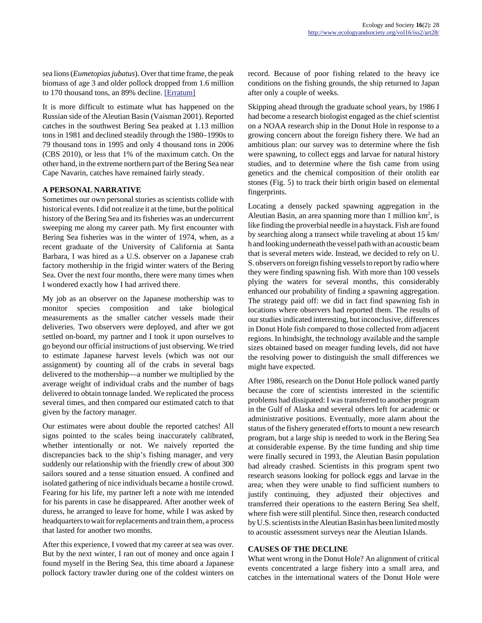sea lions (*Eumetopias jubatus*). Over that time frame, the peak biomass of age 3 and older pollock dropped from 1.6 million to 170 thousand tons, an 89% decline. [\[Erratum\]](http://www.ecologyandsociety.org/vol16/iss02/art28/errata.html)

It is more difficult to estimate what has happened on the Russian side of the Aleutian Basin (Vaisman 2001). Reported catches in the southwest Bering Sea peaked at 1.13 million tons in 1981 and declined steadily through the 1980–1990s to 79 thousand tons in 1995 and only 4 thousand tons in 2006 (CBS 2010), or less that 1% of the maximum catch. On the other hand, in the extreme northern part of the Bering Sea near Cape Navarin, catches have remained fairly steady.

#### **A PERSONAL NARRATIVE**

Sometimes our own personal stories as scientists collide with historical events. I did not realize it at the time, but the political history of the Bering Sea and its fisheries was an undercurrent sweeping me along my career path. My first encounter with Bering Sea fisheries was in the winter of 1974, when, as a recent graduate of the University of California at Santa Barbara, I was hired as a U.S. observer on a Japanese crab factory mothership in the frigid winter waters of the Bering Sea. Over the next four months, there were many times when I wondered exactly how I had arrived there.

My job as an observer on the Japanese mothership was to monitor species composition and take biological measurements as the smaller catcher vessels made their deliveries. Two observers were deployed, and after we got settled on-board, my partner and I took it upon ourselves to go beyond our official instructions of just observing. We tried to estimate Japanese harvest levels (which was not our assignment) by counting all of the crabs in several bags delivered to the mothership—a number we multiplied by the average weight of individual crabs and the number of bags delivered to obtain tonnage landed. We replicated the process several times, and then compared our estimated catch to that given by the factory manager.

Our estimates were about double the reported catches! All signs pointed to the scales being inaccurately calibrated, whether intentionally or not. We naively reported the discrepancies back to the ship's fishing manager, and very suddenly our relationship with the friendly crew of about 300 sailors soured and a tense situation ensued. A confined and isolated gathering of nice individuals became a hostile crowd. Fearing for his life, my partner left a note with me intended for his parents in case he disappeared. After another week of duress, he arranged to leave for home, while I was asked by headquarters to wait for replacements and train them, a process that lasted for another two months.

After this experience, I vowed that my career at sea was over. But by the next winter, I ran out of money and once again I found myself in the Bering Sea, this time aboard a Japanese pollock factory trawler during one of the coldest winters on record. Because of poor fishing related to the heavy ice conditions on the fishing grounds, the ship returned to Japan after only a couple of weeks.

Skipping ahead through the graduate school years, by 1986 I had become a research biologist engaged as the chief scientist on a NOAA research ship in the Donut Hole in response to a growing concern about the foreign fishery there. We had an ambitious plan: our survey was to determine where the fish were spawning, to collect eggs and larvae for natural history studies, and to determine where the fish came from using genetics and the chemical composition of their otolith ear stones (Fig. 5) to track their birth origin based on elemental fingerprints.

Locating a densely packed spawning aggregation in the Aleutian Basin, an area spanning more than 1 million  $km^2$ , is like finding the proverbial needle in a haystack. Fish are found by searching along a transect while traveling at about 15 km/ h and looking underneath the vessel path with an acoustic beam that is several meters wide. Instead, we decided to rely on U. S. observers on foreign fishing vessels to report by radio where they were finding spawning fish. With more than 100 vessels plying the waters for several months, this considerably enhanced our probability of finding a spawning aggregation. The strategy paid off: we did in fact find spawning fish in locations where observers had reported them. The results of our studies indicated interesting, but inconclusive, differences in Donut Hole fish compared to those collected from adjacent regions. In hindsight, the technology available and the sample sizes obtained based on meager funding levels, did not have the resolving power to distinguish the small differences we might have expected.

After 1986, research on the Donut Hole pollock waned partly because the core of scientists interested in the scientific problems had dissipated: I was transferred to another program in the Gulf of Alaska and several others left for academic or administrative positions. Eventually, more alarm about the status of the fishery generated efforts to mount a new research program, but a large ship is needed to work in the Bering Sea at considerable expense. By the time funding and ship time were finally secured in 1993, the Aleutian Basin population had already crashed. Scientists in this program spent two research seasons looking for pollock eggs and larvae in the area; when they were unable to find sufficient numbers to justify continuing, they adjusted their objectives and transferred their operations to the eastern Bering Sea shelf, where fish were still plentiful. Since then, research conducted by U.S. scientists in the Aleutian Basin has been limited mostly to acoustic assessment surveys near the Aleutian Islands.

#### **CAUSES OF THE DECLINE**

What went wrong in the Donut Hole? An alignment of critical events concentrated a large fishery into a small area, and catches in the international waters of the Donut Hole were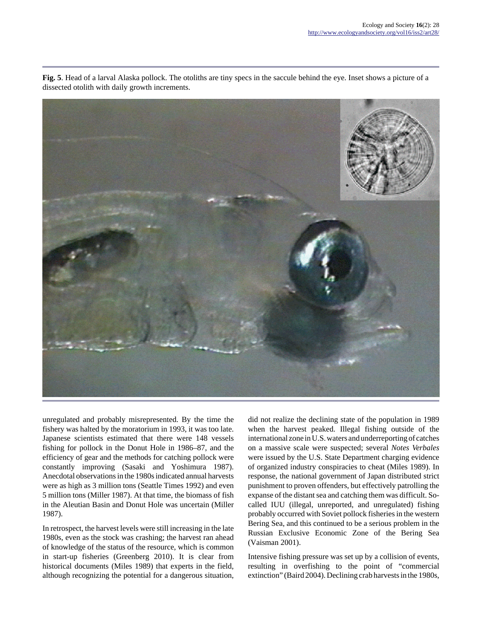

**Fig. 5**. Head of a larval Alaska pollock. The otoliths are tiny specs in the saccule behind the eye. Inset shows a picture of a dissected otolith with daily growth increments.

unregulated and probably misrepresented. By the time the fishery was halted by the moratorium in 1993, it was too late. Japanese scientists estimated that there were 148 vessels fishing for pollock in the Donut Hole in 1986–87, and the efficiency of gear and the methods for catching pollock were constantly improving (Sasaki and Yoshimura 1987). Anecdotal observations in the 1980s indicated annual harvests were as high as 3 million tons (Seattle Times 1992) and even 5 million tons (Miller 1987). At that time, the biomass of fish in the Aleutian Basin and Donut Hole was uncertain (Miller 1987).

In retrospect, the harvest levels were still increasing in the late 1980s, even as the stock was crashing; the harvest ran ahead of knowledge of the status of the resource, which is common in start-up fisheries (Greenberg 2010). It is clear from historical documents (Miles 1989) that experts in the field, although recognizing the potential for a dangerous situation,

did not realize the declining state of the population in 1989 when the harvest peaked. Illegal fishing outside of the international zone in U.S. waters and underreporting of catches on a massive scale were suspected; several *Notes Verbales* were issued by the U.S. State Department charging evidence of organized industry conspiracies to cheat (Miles 1989). In response, the national government of Japan distributed strict punishment to proven offenders, but effectively patrolling the expanse of the distant sea and catching them was difficult. Socalled IUU (illegal, unreported, and unregulated) fishing probably occurred with Soviet pollock fisheries in the western Bering Sea, and this continued to be a serious problem in the Russian Exclusive Economic Zone of the Bering Sea (Vaisman 2001).

Intensive fishing pressure was set up by a collision of events, resulting in overfishing to the point of "commercial extinction" (Baird 2004). Declining crab harvests in the 1980s,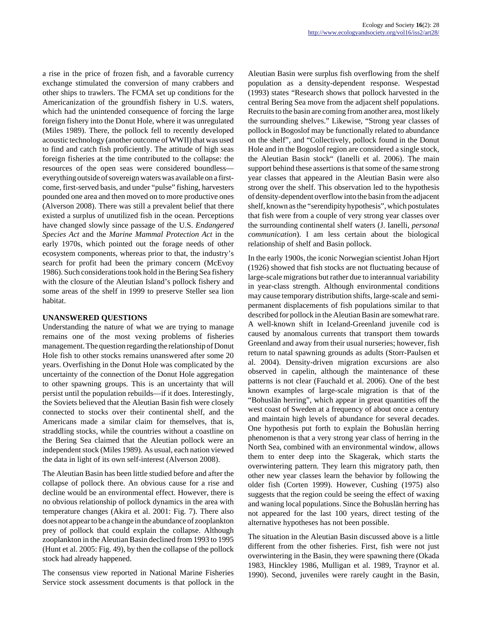a rise in the price of frozen fish, and a favorable currency exchange stimulated the conversion of many crabbers and other ships to trawlers. The FCMA set up conditions for the Americanization of the groundfish fishery in U.S. waters, which had the unintended consequence of forcing the large foreign fishery into the Donut Hole, where it was unregulated (Miles 1989). There, the pollock fell to recently developed acoustic technology (another outcome of WWII) that was used to find and catch fish proficiently. The attitude of high seas foreign fisheries at the time contributed to the collapse: the resources of the open seas were considered boundless everything outside of sovereign waters was available on a firstcome, first-served basis, and under "pulse" fishing, harvesters pounded one area and then moved on to more productive ones (Alverson 2008). There was still a prevalent belief that there existed a surplus of unutilized fish in the ocean. Perceptions have changed slowly since passage of the U.S. *Endangered Species Act* and the *Marine Mammal Protection Act* in the early 1970s, which pointed out the forage needs of other ecosystem components, whereas prior to that, the industry's search for profit had been the primary concern (McEvoy 1986). Such considerations took hold in the Bering Sea fishery with the closure of the Aleutian Island's pollock fishery and some areas of the shelf in 1999 to preserve Steller sea lion habitat.

## **UNANSWERED QUESTIONS**

Understanding the nature of what we are trying to manage remains one of the most vexing problems of fisheries management. The question regarding the relationship of Donut Hole fish to other stocks remains unanswered after some 20 years. Overfishing in the Donut Hole was complicated by the uncertainty of the connection of the Donut Hole aggregation to other spawning groups. This is an uncertainty that will persist until the population rebuilds—if it does. Interestingly, the Soviets believed that the Aleutian Basin fish were closely connected to stocks over their continental shelf, and the Americans made a similar claim for themselves, that is, straddling stocks, while the countries without a coastline on the Bering Sea claimed that the Aleutian pollock were an independent stock (Miles 1989). As usual, each nation viewed the data in light of its own self-interest (Alverson 2008).

The Aleutian Basin has been little studied before and after the collapse of pollock there. An obvious cause for a rise and decline would be an environmental effect. However, there is no obvious relationship of pollock dynamics in the area with temperature changes (Akira et al. 2001: Fig. 7). There also does not appear to be a change in the abundance of zooplankton prey of pollock that could explain the collapse. Although zooplankton in the Aleutian Basin declined from 1993 to 1995 (Hunt et al. 2005: Fig. 49), by then the collapse of the pollock stock had already happened.

The consensus view reported in National Marine Fisheries Service stock assessment documents is that pollock in the Aleutian Basin were surplus fish overflowing from the shelf population as a density-dependent response. Wespestad (1993) states "Research shows that pollock harvested in the central Bering Sea move from the adjacent shelf populations. Recruits to the basin are coming from another area, most likely the surrounding shelves." Likewise, "Strong year classes of pollock in Bogoslof may be functionally related to abundance on the shelf", and "Collectively, pollock found in the Donut Hole and in the Bogoslof region are considered a single stock, the Aleutian Basin stock" (Ianelli et al. 2006). The main support behind these assertions is that some of the same strong year classes that appeared in the Aleutian Basin were also strong over the shelf. This observation led to the hypothesis of density-dependent overflow into the basin from the adjacent shelf, known as the "serendipity hypothesis", which postulates that fish were from a couple of very strong year classes over the surrounding continental shelf waters (J. Ianelli, *personal communication*). I am less certain about the biological relationship of shelf and Basin pollock.

In the early 1900s, the iconic Norwegian scientist Johan Hjort (1926) showed that fish stocks are not fluctuating because of large-scale migrations but rather due to interannual variability in year-class strength. Although environmental conditions may cause temporary distribution shifts, large-scale and semipermanent displacements of fish populations similar to that described for pollock in the Aleutian Basin are somewhat rare. A well-known shift in Iceland-Greenland juvenile cod is caused by anomalous currents that transport them towards Greenland and away from their usual nurseries; however, fish return to natal spawning grounds as adults (Storr-Paulsen et al. 2004). Density-driven migration excursions are also observed in capelin, although the maintenance of these patterns is not clear (Fauchald et al. 2006). One of the best known examples of large-scale migration is that of the "Bohuslän herring", which appear in great quantities off the west coast of Sweden at a frequency of about once a century and maintain high levels of abundance for several decades. One hypothesis put forth to explain the Bohuslän herring phenomenon is that a very strong year class of herring in the North Sea, combined with an environmental window, allows them to enter deep into the Skagerak, which starts the overwintering pattern. They learn this migratory path, then other new year classes learn the behavior by following the older fish (Corten 1999). However, Cushing (1975) also suggests that the region could be seeing the effect of waxing and waning local populations. Since the Bohuslän herring has not appeared for the last 100 years, direct testing of the alternative hypotheses has not been possible.

The situation in the Aleutian Basin discussed above is a little different from the other fisheries. First, fish were not just overwintering in the Basin, they were spawning there (Okada 1983, Hinckley 1986, Mulligan et al. 1989, Traynor et al. 1990). Second, juveniles were rarely caught in the Basin,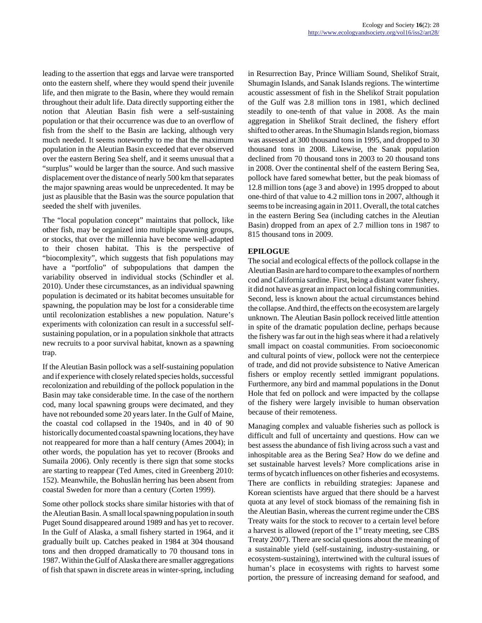leading to the assertion that eggs and larvae were transported onto the eastern shelf, where they would spend their juvenile life, and then migrate to the Basin, where they would remain throughout their adult life. Data directly supporting either the notion that Aleutian Basin fish were a self-sustaining population or that their occurrence was due to an overflow of fish from the shelf to the Basin are lacking, although very much needed. It seems noteworthy to me that the maximum population in the Aleutian Basin exceeded that ever observed over the eastern Bering Sea shelf, and it seems unusual that a "surplus" would be larger than the source. And such massive displacement over the distance of nearly 500 km that separates the major spawning areas would be unprecedented. It may be just as plausible that the Basin was the source population that seeded the shelf with juveniles.

The "local population concept" maintains that pollock, like other fish, may be organized into multiple spawning groups, or stocks, that over the millennia have become well-adapted to their chosen habitat. This is the perspective of "biocomplexity", which suggests that fish populations may have a "portfolio" of subpopulations that dampen the variability observed in individual stocks (Schindler et al. 2010). Under these circumstances, as an individual spawning population is decimated or its habitat becomes unsuitable for spawning, the population may be lost for a considerable time until recolonization establishes a new population. Nature's experiments with colonization can result in a successful selfsustaining population, or in a population sinkhole that attracts new recruits to a poor survival habitat, known as a spawning trap.

If the Aleutian Basin pollock was a self-sustaining population and if experience with closely related species holds, successful recolonization and rebuilding of the pollock population in the Basin may take considerable time. In the case of the northern cod, many local spawning groups were decimated, and they have not rebounded some 20 years later. In the Gulf of Maine, the coastal cod collapsed in the 1940s, and in 40 of 90 historically documented coastal spawning locations, they have not reappeared for more than a half century (Ames 2004); in other words, the population has yet to recover (Brooks and Sumaila 2006). Only recently is there sign that some stocks are starting to reappear (Ted Ames, cited in Greenberg 2010: 152). Meanwhile, the Bohuslän herring has been absent from coastal Sweden for more than a century (Corten 1999).

Some other pollock stocks share similar histories with that of the Aleutian Basin. A small local spawning population in south Puget Sound disappeared around 1989 and has yet to recover. In the Gulf of Alaska, a small fishery started in 1964, and it gradually built up. Catches peaked in 1984 at 304 thousand tons and then dropped dramatically to 70 thousand tons in 1987. Within the Gulf of Alaska there are smaller aggregations of fish that spawn in discrete areas in winter-spring, including in Resurrection Bay, Prince William Sound, Shelikof Strait, Shumagin Islands, and Sanak Islands regions. The wintertime acoustic assessment of fish in the Shelikof Strait population of the Gulf was 2.8 million tons in 1981, which declined steadily to one-tenth of that value in 2008. As the main aggregation in Shelikof Strait declined, the fishery effort shifted to other areas. In the Shumagin Islands region, biomass was assessed at 300 thousand tons in 1995, and dropped to 30 thousand tons in 2008. Likewise, the Sanak population declined from 70 thousand tons in 2003 to 20 thousand tons in 2008. Over the continental shelf of the eastern Bering Sea, pollock have fared somewhat better, but the peak biomass of 12.8 million tons (age 3 and above) in 1995 dropped to about one-third of that value to 4.2 million tons in 2007, although it seems to be increasing again in 2011. Overall, the total catches in the eastern Bering Sea (including catches in the Aleutian Basin) dropped from an apex of 2.7 million tons in 1987 to 815 thousand tons in 2009.

# **EPILOGUE**

The social and ecological effects of the pollock collapse in the Aleutian Basin are hard to compare to the examples of northern cod and California sardine. First, being a distant water fishery, it did not have as great an impact on local fishing communities. Second, less is known about the actual circumstances behind the collapse. And third, the effects on the ecosystem are largely unknown. The Aleutian Basin pollock received little attention in spite of the dramatic population decline, perhaps because the fishery was far out in the high seas where it had a relatively small impact on coastal communities. From socioeconomic and cultural points of view, pollock were not the centerpiece of trade, and did not provide subsistence to Native American fishers or employ recently settled immigrant populations. Furthermore, any bird and mammal populations in the Donut Hole that fed on pollock and were impacted by the collapse of the fishery were largely invisible to human observation because of their remoteness.

Managing complex and valuable fisheries such as pollock is difficult and full of uncertainty and questions. How can we best assess the abundance of fish living across such a vast and inhospitable area as the Bering Sea? How do we define and set sustainable harvest levels? More complications arise in terms of bycatch influences on other fisheries and ecosystems. There are conflicts in rebuilding strategies: Japanese and Korean scientists have argued that there should be a harvest quota at any level of stock biomass of the remaining fish in the Aleutian Basin, whereas the current regime under the CBS Treaty waits for the stock to recover to a certain level before a harvest is allowed (report of the  $1<sup>st</sup>$  treaty meeting, see CBS Treaty 2007). There are social questions about the meaning of a sustainable yield (self-sustaining, industry-sustaining, or ecosystem-sustaining), intertwined with the cultural issues of human's place in ecosystems with rights to harvest some portion, the pressure of increasing demand for seafood, and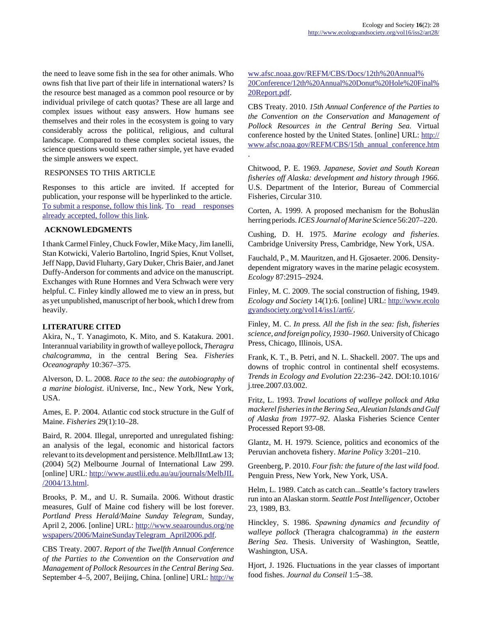the need to leave some fish in the sea for other animals. Who owns fish that live part of their life in international waters? Is the resource best managed as a common pool resource or by individual privilege of catch quotas? These are all large and complex issues without easy answers. How humans see themselves and their roles in the ecosystem is going to vary considerably across the political, religious, and cultural landscape. Compared to these complex societal issues, the science questions would seem rather simple, yet have evaded the simple answers we expect.

#### RESPONSES TO THIS ARTICLE

Responses to this article are invited. If accepted for publication, your response will be hyperlinked to the article. [To submit a response, follow this link](http://www.ecologyandsociety.org/responses.php?articleid=4124&mode=add). [To read responses](http://www.ecologyandsociety.org/responses.php?articleid=4124) [already accepted, follow this link](http://www.ecologyandsociety.org/responses.php?articleid=4124).

#### **ACKNOWLEDGMENTS**

I thank Carmel Finley, Chuck Fowler, Mike Macy, Jim Ianelli, Stan Kotwicki, Valerio Bartolino, Ingrid Spies, Knut Vollset, Jeff Napp, David Fluharty, Gary Duker, Chris Baier, and Janet Duffy-Anderson for comments and advice on the manuscript. Exchanges with Rune Hornnes and Vera Schwach were very helpful. C. Finley kindly allowed me to view an in press, but as yet unpublished, manuscript of her book, which I drew from heavily.

## **LITERATURE CITED**

Akira, N., T. Yanagimoto, K. Mito, and S. Katakura. 2001. Interannual variability in growth of walleye pollock, *Theragra chalcogramma*, in the central Bering Sea. *Fisheries Oceanography* 10:367–375.

Alverson, D. L. 2008. *Race to the sea: the autobiography of a marine biologist*. iUniverse, Inc., New York, New York, USA.

Ames, E. P. 2004. Atlantic cod stock structure in the Gulf of Maine. *Fisheries* 29(1):10–28.

Baird, R. 2004. Illegal, unreported and unregulated fishing: an analysis of the legal, economic and historical factors relevant to its development and persistence. MelbJlIntLaw 13; (2004) 5(2) Melbourne Journal of International Law 299. [online] URL: [http://www.austlii.edu.au/au/journals/MelbJIL](http://www.austlii.edu.au/au/journals/MelbJIL/2004/13.html) [/2004/13.html](http://www.austlii.edu.au/au/journals/MelbJIL/2004/13.html).

Brooks, P. M., and U. R. Sumaila. 2006. Without drastic measures, Gulf of Maine cod fishery will be lost forever. *Portland Press Herald/Maine Sunday Telegram*, Sunday, April 2, 2006. [online] URL: [http://www.seaaroundus.org/ne](http://www.seaaroundus.org/newspapers/2006/MaineSundayTelegram_April2006.pdf) [wspapers/2006/MaineSundayTelegram\\_April2006.pdf.](http://www.seaaroundus.org/newspapers/2006/MaineSundayTelegram_April2006.pdf)

CBS Treaty. 2007. *Report of the Twelfth Annual Conference of the Parties to the Convention on the Conservation and Management of Pollock Resources in the Central Bering Sea*. September 4–5, 2007, Beijing, China. [online] URL: http://w

ww.afsc.noaa.gov/REFM/CBS/Docs/12th%20Annual% 20Conference/12th%20Annual%20Donut%20Hole%20Final% [20Report.pdf](http://www.afsc.noaa.gov/REFM/CBS/Docs/12th%20Annual%20Conference/12th%20Annual%20Donut%20Hole%20Final%20Report.pdf).

CBS Treaty. 2010. *15th Annual Conference of the Parties to the Convention on the Conservation and Management of Pollock Resources in the Central Bering Sea.* Virtual conference hosted by the United States. [online] URL: [http://](http://www.afsc.noaa.gov/REFM/CBS/15th_annual_conference.htm) [www.afsc.noaa.gov/REFM/CBS/15th\\_annual\\_conference.htm](http://www.afsc.noaa.gov/REFM/CBS/15th_annual_conference.htm) .

Chitwood, P. E. 1969. *Japanese, Soviet and South Korean fisheries off Alaska: development and history through 1966*. U.S. Department of the Interior, Bureau of Commercial Fisheries, Circular 310.

Corten, A. 1999. A proposed mechanism for the Bohuslän herring periods. *ICES Journal of Marine Science* 56:207–220.

Cushing, D. H. 1975. *Marine ecology and fisheries*. Cambridge University Press, Cambridge, New York, USA.

Fauchald, P., M. Mauritzen, and H. Gjosaeter. 2006. Densitydependent migratory waves in the marine pelagic ecosystem. *Ecology* 87:2915–2924.

Finley, M. C. 2009. The social construction of fishing, 1949. *Ecology and Society* 14(1):6. [online] URL: [http://www.ecolo](http://www.ecologyandsociety.org/vol14/iss1/art6/) [gyandsociety.org/vol14/iss1/art6/.](http://www.ecologyandsociety.org/vol14/iss1/art6/)

Finley, M. C. *In press. All the fish in the sea: fish, fisheries science, and foreign policy, 1930–1960*. University of Chicago Press, Chicago, Illinois, USA.

Frank, K. T., B. Petri, and N. L. Shackell. 2007. The ups and downs of trophic control in continental shelf ecosystems. *Trends in Ecology and Evolution* 22:236–242. DOI:10.1016/ j.tree.2007.03.002.

Fritz, L. 1993. *Trawl locations of walleye pollock and Atka mackerel fisheries in the Bering Sea, Aleutian Islands and Gulf of Alaska from 1977–92*. Alaska Fisheries Science Center Processed Report 93-08.

Glantz, M. H. 1979. Science, politics and economics of the Peruvian anchoveta fishery. *Marine Policy* 3:201–210.

Greenberg, P. 2010. *Four fish: the future of the last wild food*. Penguin Press, New York, New York, USA.

Helm, L. 1989. Catch as catch can...Seattle's factory trawlers run into an Alaskan storm. *Seattle Post Intelligencer*, October 23, 1989, B3.

Hinckley, S. 1986. *Spawning dynamics and fecundity of walleye pollock* (Theragra chalcogramma) *in the eastern Bering Sea*. Thesis. University of Washington, Seattle, Washington, USA.

Hjort, J. 1926. Fluctuations in the year classes of important food fishes. *[Journal du Conseil](http://www.afsc.noaa.gov/REFM/CBS/Docs/12th%20Annual%20Conference/12th%20Annual%20Donut%20Hole%20Final%20Report.pdf)* 1:5–38.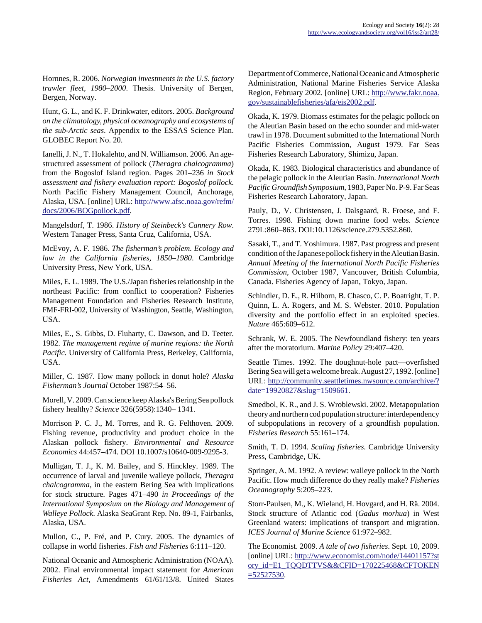Hornnes, R. 2006. *Norwegian investments in the U.S. factory trawler fleet, 1980–2000*. Thesis. University of Bergen, Bergen, Norway.

Hunt, G. L., and K. F. Drinkwater, editors. 2005. *Background on the climatology, physical oceanography and ecosystems of the sub-Arctic seas*. Appendix to the ESSAS Science Plan. GLOBEC Report No. 20.

Ianelli, J. N., T. Hokalehto, and N. Williamson. 2006. An agestructured assessment of pollock (*Theragra chalcogramma*) from the Bogoslof Island region. Pages 201–236 *in Stock assessment and fishery evaluation report: Bogoslof pollock*. North Pacific Fishery Management Council, Anchorage, Alaska, USA. [online] URL: [http://www.afsc.noaa.gov/refm/](http://www.afsc.noaa.gov/refm/docs/2006/BOGpollock.pdf) [docs/2006/BOGpollock.pdf.](http://www.afsc.noaa.gov/refm/docs/2006/BOGpollock.pdf)

Mangelsdorf, T. 1986. *History of Steinbeck's Cannery Row*. Western Tanager Press, Santa Cruz, California, USA.

McEvoy, A. F. 1986. *The fisherman's problem. Ecology and law in the California fisheries, 1850–1980*. Cambridge University Press, New York, USA.

Miles, E. L. 1989. The U.S./Japan fisheries relationship in the northeast Pacific: from conflict to cooperation? Fisheries Management Foundation and Fisheries Research Institute, FMF-FRI-002, University of Washington, Seattle, Washington, USA.

Miles, E., S. Gibbs, D. Fluharty, C. Dawson, and D. Teeter. 1982. *The management regime of marine regions: the North Pacific.* University of California Press, Berkeley, California, USA.

Miller, C. 1987. How many pollock in donut hole? *Alaska Fisherman's Journal* October 1987:54–56.

Morell, V. 2009. Can science keep Alaska's Bering Sea pollock fishery healthy? *Science* 326(5958):1340– 1341.

Morrison P. C. J., M. Torres, and R. G. Felthoven. 2009. Fishing revenue, productivity and product choice in the Alaskan pollock fishery. *Environmental and Resource Economics* 44:457–474. DOI 10.1007/s10640-009-9295-3.

Mulligan, T. J., K. M. Bailey, and S. Hinckley. 1989. The occurrence of larval and juvenile walleye pollock, *Theragra chalcogramma*, in the eastern Bering Sea with implications for stock structure. Pages 471–490 *in Proceedings of the International Symposium on the Biology and Management of Walleye Pollock*. Alaska SeaGrant Rep. No. 89-1, Fairbanks, Alaska, USA.

Mullon, C., P. Fré, and P. Cury. 2005. The dynamics of collapse in world fisheries. *Fish and Fisheries* 6:111–120.

National Oceanic and Atmospheric Administration (NOAA). 2002. Final environmental impact statement for *American Fisheries Act*, Amendments 61/61/13/8. United States Department of Commerce, National Oceanic and Atmospheric Administration, National Marine Fisheries Service Alaska Region, February 2002. [online] URL: [http://www.fakr.noaa.](http://www.fakr.noaa.gov/sustainablefisheries/afa/eis2002.pdf) [gov/sustainablefisheries/afa/eis2002.pdf.](http://www.fakr.noaa.gov/sustainablefisheries/afa/eis2002.pdf)

Okada, K. 1979. Biomass estimates for the pelagic pollock on the Aleutian Basin based on the echo sounder and mid-water trawl in 1978. Document submitted to the International North Pacific Fisheries Commission, August 1979. Far Seas Fisheries Research Laboratory, Shimizu, Japan.

Okada, K. 1983. Biological characteristics and abundance of the pelagic pollock in the Aleutian Basin. *International North Pacific Groundfish Symposium*, 1983, Paper No. P-9. Far Seas Fisheries Research Laboratory, Japan.

Pauly, D., V. Christensen, J. Dalsgaard, R. Froese, and F. Torres. 1998. Fishing down marine food webs. *Science* 279L:860–863. DOI:10.1126/science.279.5352.860.

Sasaki, T., and T. Yoshimura. 1987. Past progress and present condition of the Japanese pollock fishery in the Aleutian Basin. *Annual Meeting of the International North Pacific Fisheries Commission*, October 1987, Vancouver, British Columbia, Canada. Fisheries Agency of Japan, Tokyo, Japan.

Schindler, D. E., R. Hilborn, B. Chasco, C. P. Boatright, T. P. Quinn, L. A. Rogers, and M. S. Webster. 2010. Population diversity and the portfolio effect in an exploited species. *Nature* 465:609–612.

Schrank, W. E. 2005. The Newfoundland fishery: ten years after the moratorium. *Marine Policy* 29:407–420.

Seattle Times. 1992. The doughnut-hole pact—overfished Bering Sea will get a welcome break. August 27, 1992. [online] URL: [http://community.seattletimes.nwsource.com/archive/?](http://community.seattletimes.nwsource.com/archive/?date=19920827&slug=1509661) [date=19920827&slug=1509661](http://community.seattletimes.nwsource.com/archive/?date=19920827&slug=1509661).

Smedbol, K. R., and J. S. Wroblewski. 2002. Metapopulation theory and northern cod population structure: interdependency of subpopulations in recovery of a groundfish population. *Fisheries Research* 55:161–174.

Smith, T. D. 1994. *Scaling fisheries.* Cambridge University Press, Cambridge, UK.

Springer, A. M. 1992. A review: walleye pollock in the North Pacific. How much difference do they really make? *Fisheries Oceanography* 5:205–223.

Storr-Paulsen, M., K. Wieland, H. Hovgard, and H. Rä. 2004. Stock structure of Atlantic cod (*Gadus morhua*) in West Greenland waters: implications of transport and migration. *ICES Journal of Marine Science* 61:972–982.

The Economist. 2009. *A tale of two fisheries*. Sept. 10, 2009. [online] URL: [http://www.economist.com/node/14401157?st](http://www.economist.com/node/14401157?story_id=E1_TQQDTTVS&CFID=170225468&CFTOKEN=52527530) ory\_id=E1\_TQQDTTVS&&CFID=170225468&CFTOKEN  $=$  52527530.